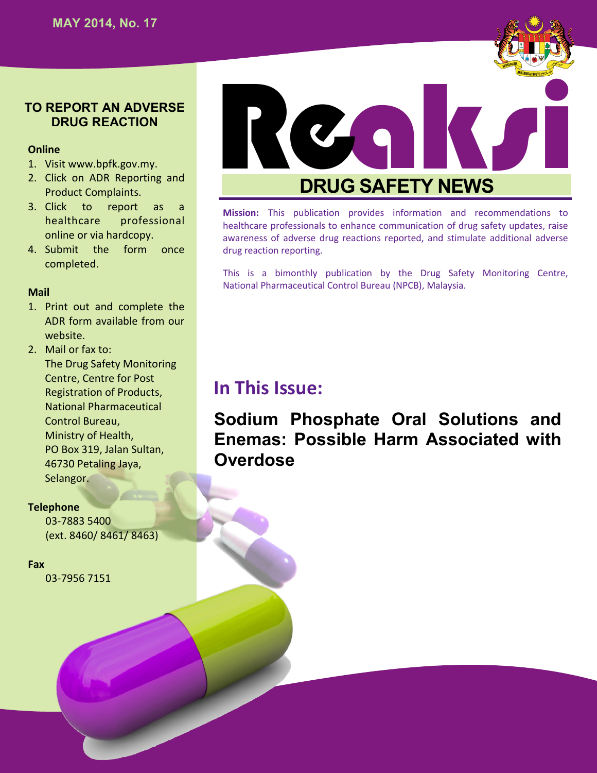

#### **Online**

- 1. Visit www.bpfk.gov.my.
- 2. Click on ADR Reporting and Product Complaints.
- 3. Click to report as a healthcare professional online or via hardcopy.
- 4. Submit the form once completed.

#### **Mail**

- 1. Print out and complete the ADR form available from our website.
- 2. Mail or fax to: The Drug Safety Monitoring Centre, Centre for Post Registration of Products, National Pharmaceutical Control Bureau, Ministry of Health, PO Box 319, Jalan Sultan, 46730 Petaling Jaya, Selangor.

#### **Telephone**

03-7883 5400 (ext. 8460/ 8461/ 8463)

#### **Fax**

03-7956 7151



# **DRUG SAFETY NEWS**

**Mission:** This publication provides information and recommendations to healthcare professionals to enhance communication of drug safety updates, raise awareness of adverse drug reactions reported, and stimulate additional adverse drug reaction reporting.

This is a bimonthly publication by the Drug Safety Monitoring Centre, National Pharmaceutical Control Bureau (NPCB), Malaysia.

## **In This Issue:**

**Sodium Phosphate Oral Solutions and Enemas: Possible Harm Associated with Overdose**